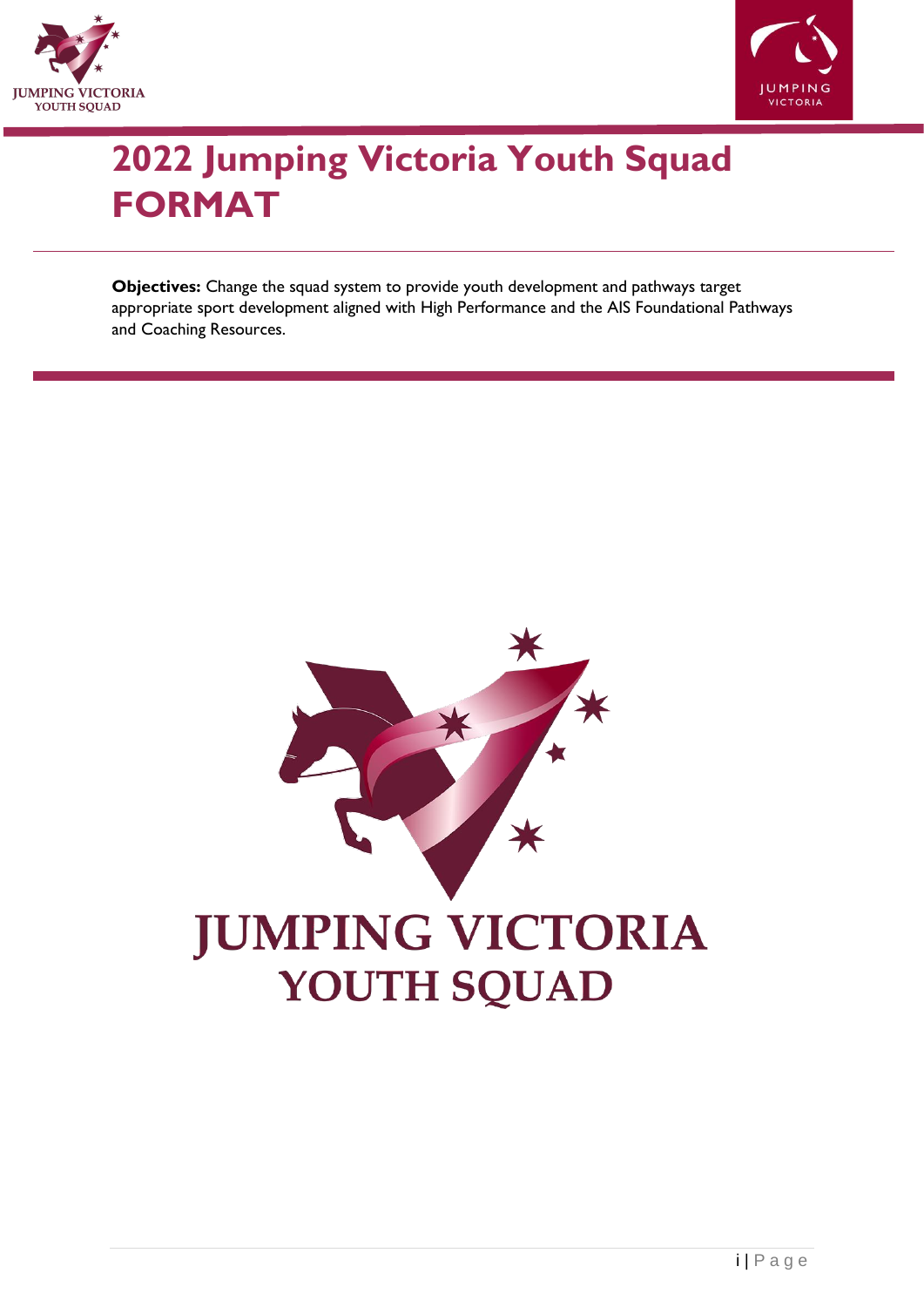



# **2022 Jumping Victoria Youth Squad FORMAT**

**Objectives:** Change the squad system to provide youth development and pathways target appropriate sport development aligned with High Performance and the AIS Foundational Pathways and Coaching Resources.

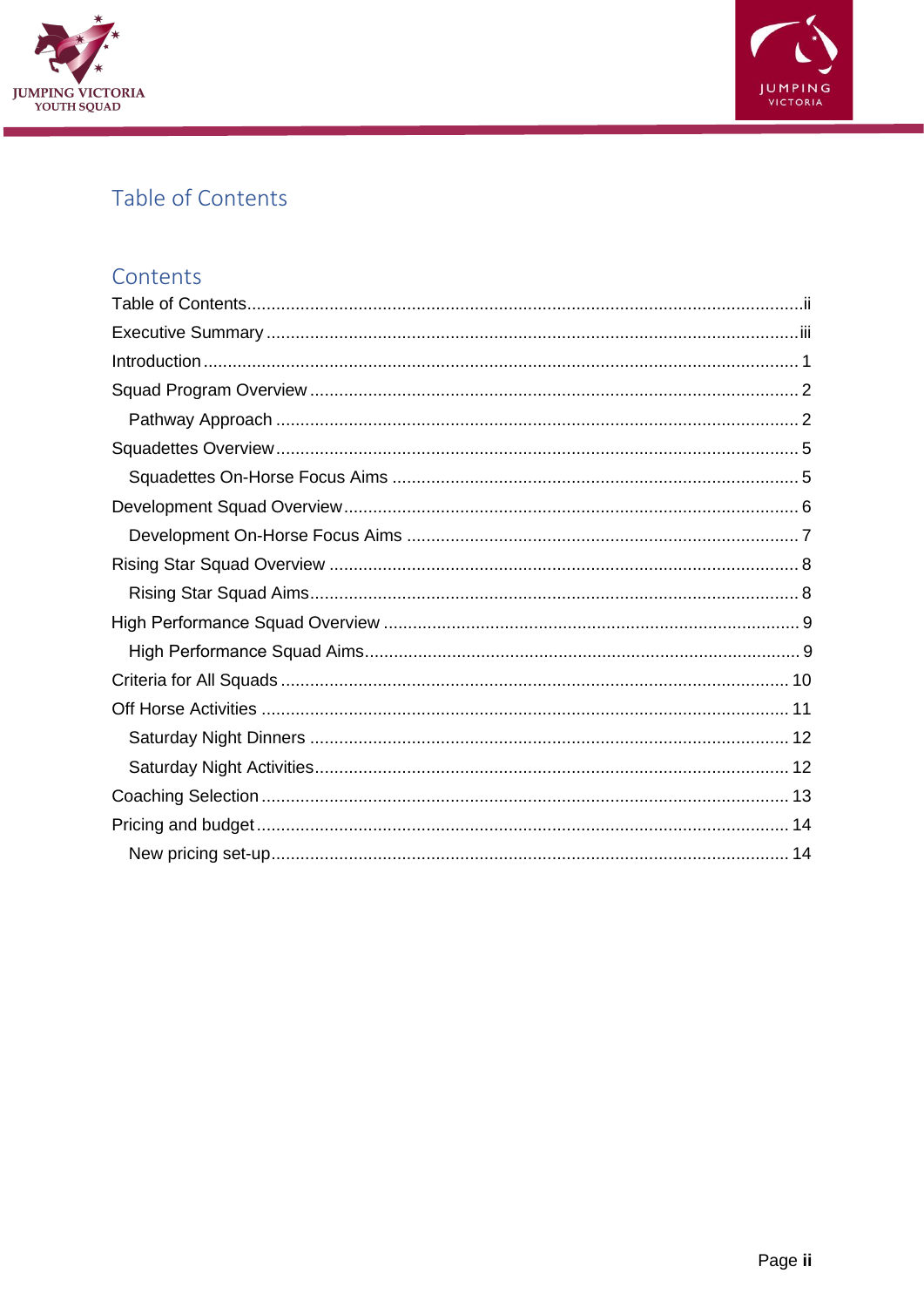



## <span id="page-1-0"></span>Table of Contents

## Contents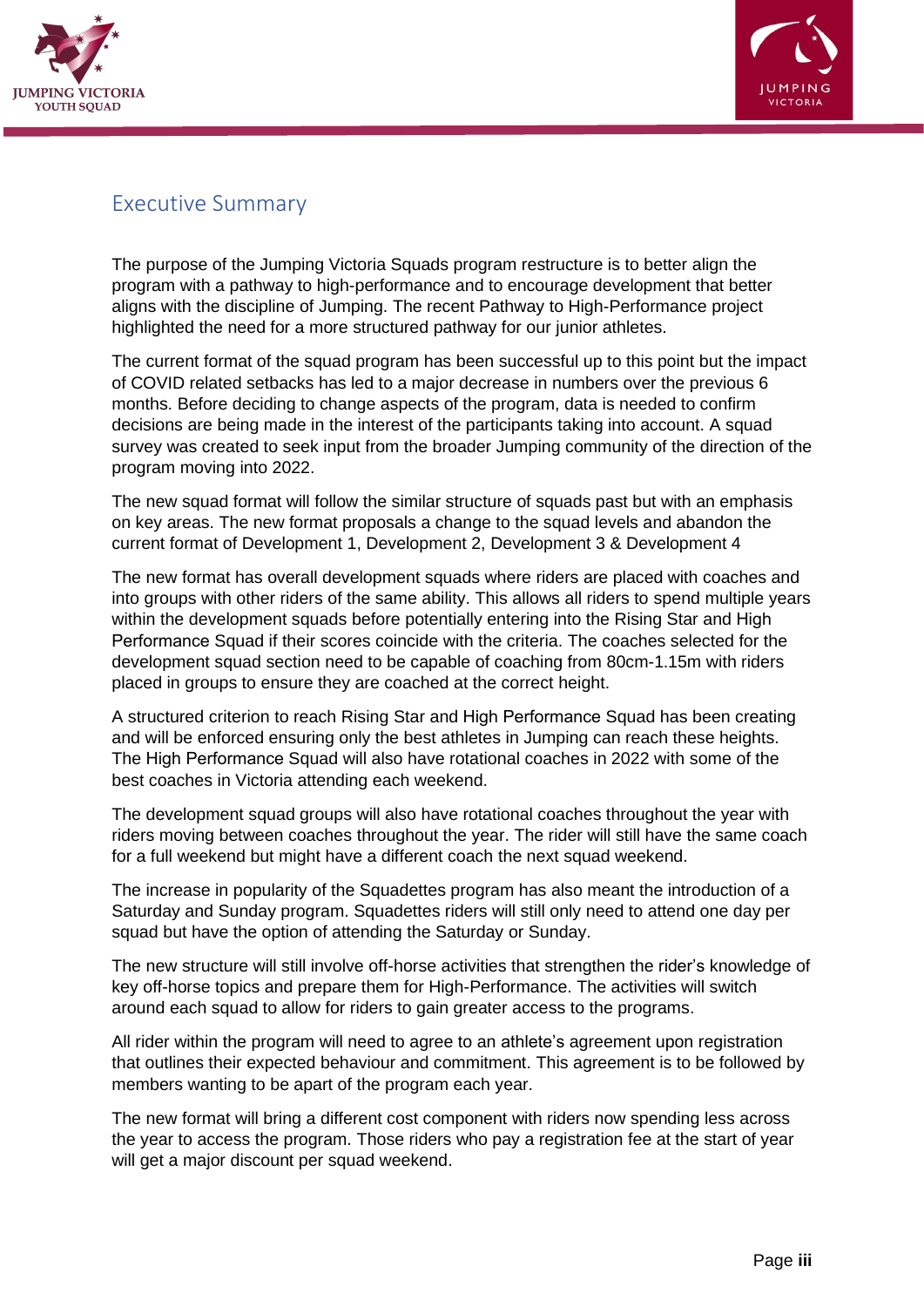



## <span id="page-2-0"></span>Executive Summary

The purpose of the Jumping Victoria Squads program restructure is to better align the program with a pathway to high-performance and to encourage development that better aligns with the discipline of Jumping. The recent Pathway to High-Performance project highlighted the need for a more structured pathway for our junior athletes.

The current format of the squad program has been successful up to this point but the impact of COVID related setbacks has led to a major decrease in numbers over the previous 6 months. Before deciding to change aspects of the program, data is needed to confirm decisions are being made in the interest of the participants taking into account. A squad survey was created to seek input from the broader Jumping community of the direction of the program moving into 2022.

The new squad format will follow the similar structure of squads past but with an emphasis on key areas. The new format proposals a change to the squad levels and abandon the current format of Development 1, Development 2, Development 3 & Development 4

The new format has overall development squads where riders are placed with coaches and into groups with other riders of the same ability. This allows all riders to spend multiple years within the development squads before potentially entering into the Rising Star and High Performance Squad if their scores coincide with the criteria. The coaches selected for the development squad section need to be capable of coaching from 80cm-1.15m with riders placed in groups to ensure they are coached at the correct height.

A structured criterion to reach Rising Star and High Performance Squad has been creating and will be enforced ensuring only the best athletes in Jumping can reach these heights. The High Performance Squad will also have rotational coaches in 2022 with some of the best coaches in Victoria attending each weekend.

The development squad groups will also have rotational coaches throughout the year with riders moving between coaches throughout the year. The rider will still have the same coach for a full weekend but might have a different coach the next squad weekend.

The increase in popularity of the Squadettes program has also meant the introduction of a Saturday and Sunday program. Squadettes riders will still only need to attend one day per squad but have the option of attending the Saturday or Sunday.

The new structure will still involve off-horse activities that strengthen the rider's knowledge of key off-horse topics and prepare them for High-Performance. The activities will switch around each squad to allow for riders to gain greater access to the programs.

All rider within the program will need to agree to an athlete's agreement upon registration that outlines their expected behaviour and commitment. This agreement is to be followed by members wanting to be apart of the program each year.

The new format will bring a different cost component with riders now spending less across the year to access the program. Those riders who pay a registration fee at the start of year will get a major discount per squad weekend.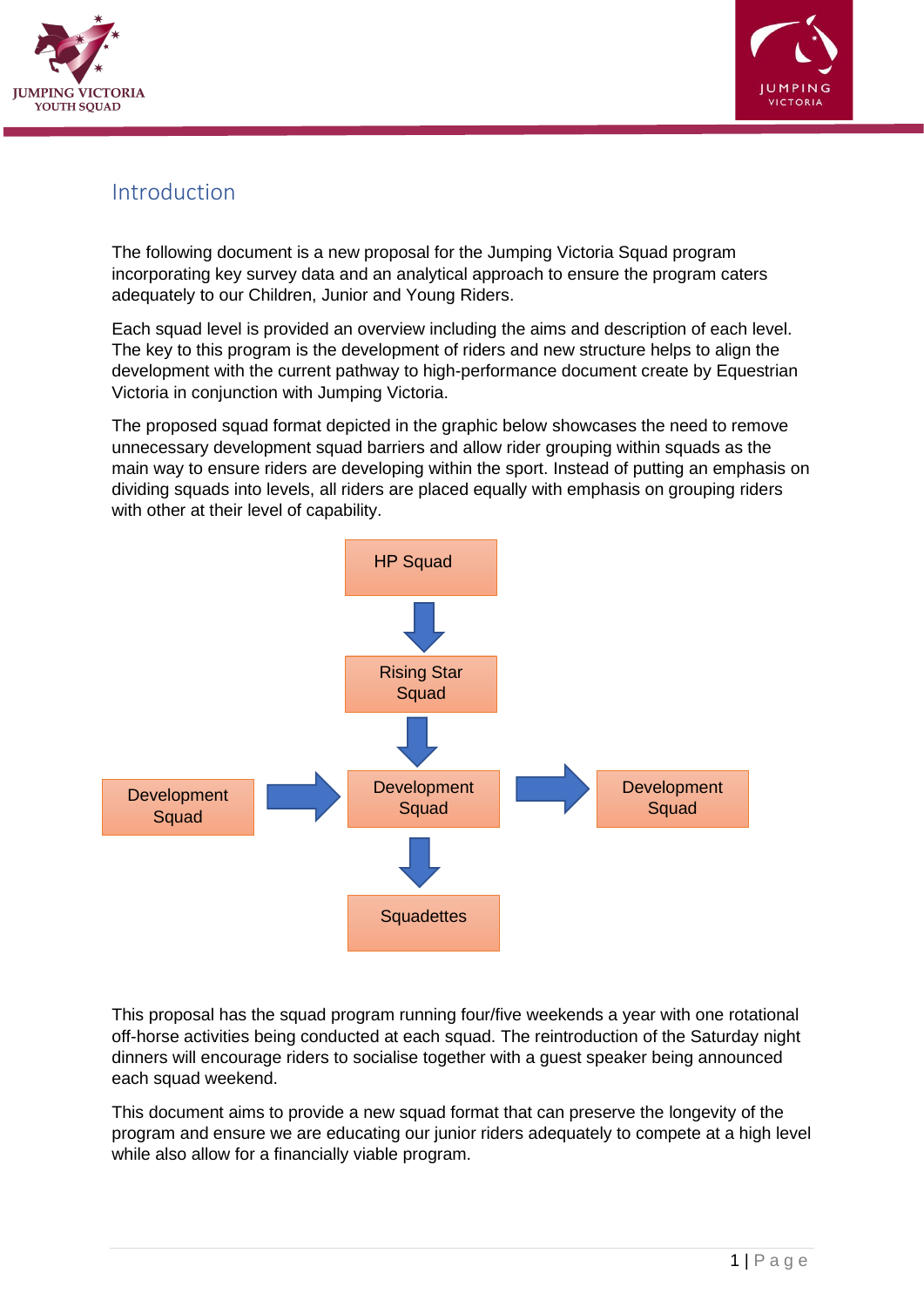



## <span id="page-3-0"></span>Introduction

The following document is a new proposal for the Jumping Victoria Squad program incorporating key survey data and an analytical approach to ensure the program caters adequately to our Children, Junior and Young Riders.

Each squad level is provided an overview including the aims and description of each level. The key to this program is the development of riders and new structure helps to align the development with the current pathway to high-performance document create by Equestrian Victoria in conjunction with Jumping Victoria.

The proposed squad format depicted in the graphic below showcases the need to remove unnecessary development squad barriers and allow rider grouping within squads as the main way to ensure riders are developing within the sport. Instead of putting an emphasis on dividing squads into levels, all riders are placed equally with emphasis on grouping riders with other at their level of capability.



This proposal has the squad program running four/five weekends a year with one rotational off-horse activities being conducted at each squad. The reintroduction of the Saturday night dinners will encourage riders to socialise together with a guest speaker being announced each squad weekend.

This document aims to provide a new squad format that can preserve the longevity of the program and ensure we are educating our junior riders adequately to compete at a high level while also allow for a financially viable program.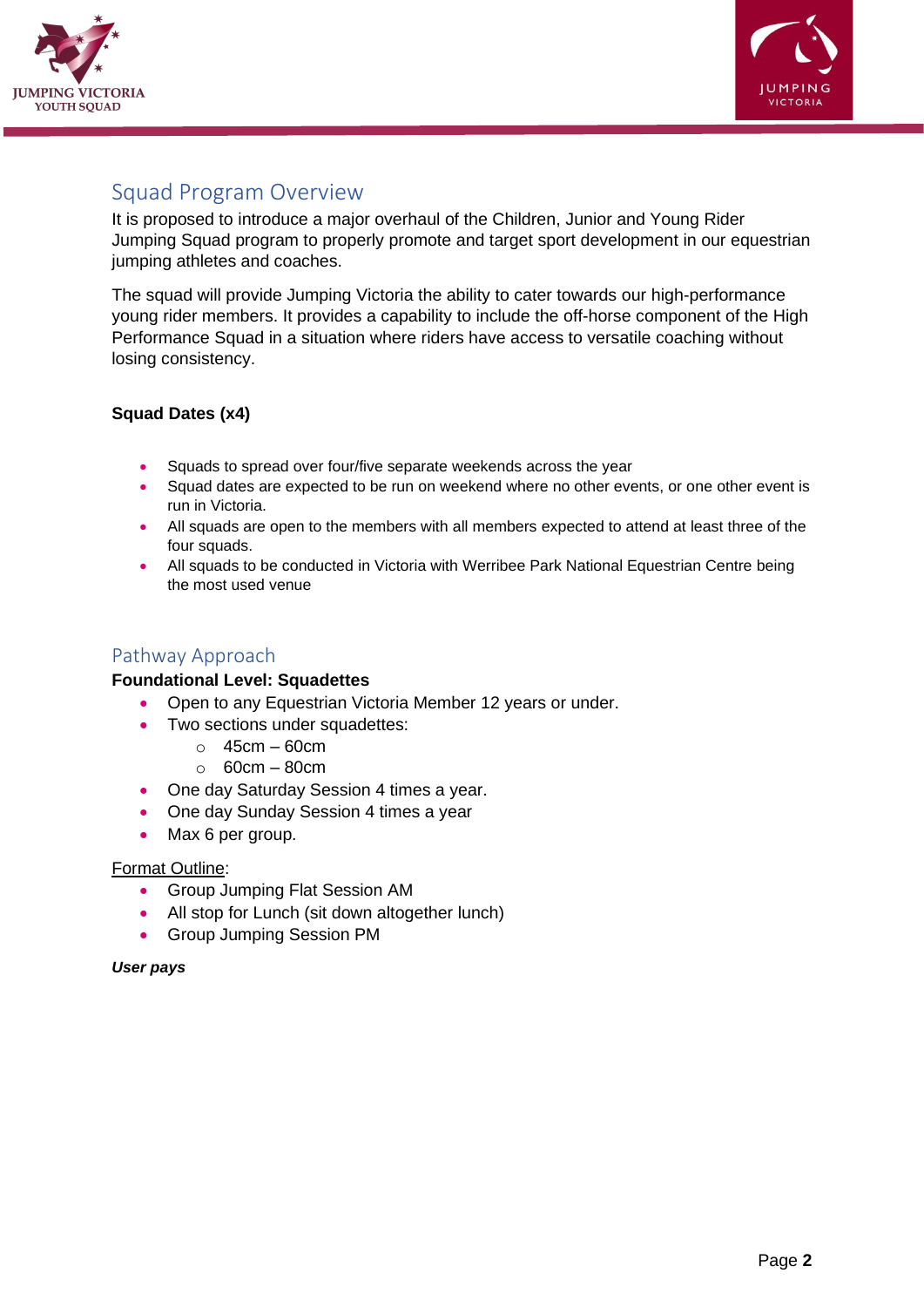



## <span id="page-4-0"></span>Squad Program Overview

It is proposed to introduce a major overhaul of the Children, Junior and Young Rider Jumping Squad program to properly promote and target sport development in our equestrian jumping athletes and coaches.

The squad will provide Jumping Victoria the ability to cater towards our high-performance young rider members. It provides a capability to include the off-horse component of the High Performance Squad in a situation where riders have access to versatile coaching without losing consistency.

#### **Squad Dates (x4)**

- Squads to spread over four/five separate weekends across the year
- Squad dates are expected to be run on weekend where no other events, or one other event is run in Victoria.
- All squads are open to the members with all members expected to attend at least three of the four squads.
- All squads to be conducted in Victoria with Werribee Park National Equestrian Centre being the most used venue

#### <span id="page-4-1"></span>Pathway Approach

#### **Foundational Level: Squadettes**

- Open to any Equestrian Victoria Member 12 years or under.
	- Two sections under squadettes:
		- $\circ$  45cm 60cm
		- $\circ$  60cm 80cm
	- One day Saturday Session 4 times a year.
	- One day Sunday Session 4 times a year
	- Max 6 per group.

#### Format Outline:

- Group Jumping Flat Session AM
- All stop for Lunch (sit down altogether lunch)
- Group Jumping Session PM

#### *User pays*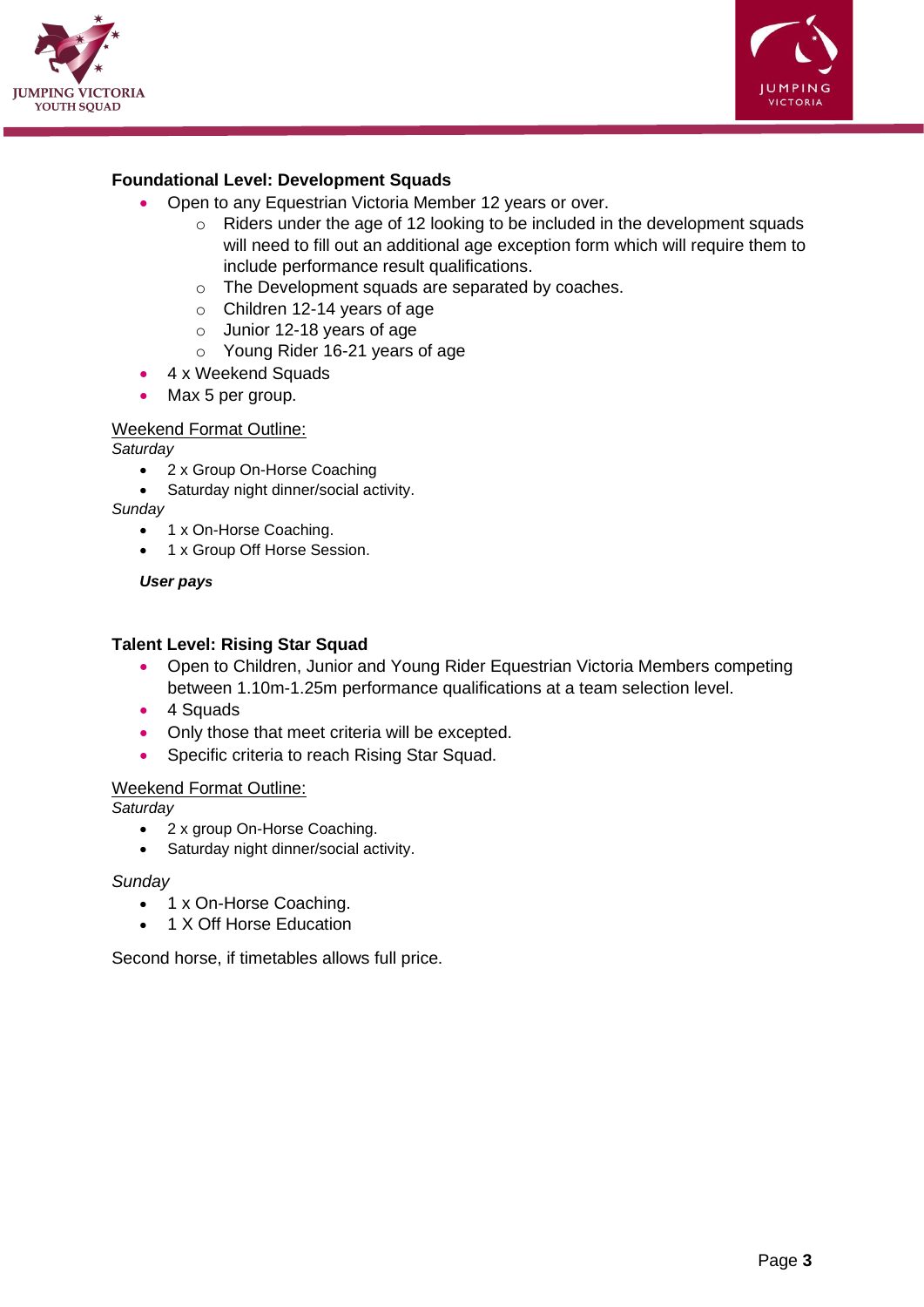



#### **Foundational Level: Development Squads**

- Open to any Equestrian Victoria Member 12 years or over.
	- o Riders under the age of 12 looking to be included in the development squads will need to fill out an additional age exception form which will require them to include performance result qualifications.
	- o The Development squads are separated by coaches.
	- o Children 12-14 years of age
	- o Junior 12-18 years of age
	- o Young Rider 16-21 years of age
- 4 x Weekend Squads
- Max 5 per group.

#### Weekend Format Outline:

*Saturday*

- 2 x Group On-Horse Coaching
- Saturday night dinner/social activity.

*Sunday* 

- 1 x On-Horse Coaching.
- 1 x Group Off Horse Session.

*User pays*

#### **Talent Level: Rising Star Squad**

- Open to Children, Junior and Young Rider Equestrian Victoria Members competing between 1.10m-1.25m performance qualifications at a team selection level.
- 4 Squads
- Only those that meet criteria will be excepted.
- Specific criteria to reach Rising Star Squad.

#### Weekend Format Outline:

*Saturday*

- 2 x group On-Horse Coaching.
- Saturday night dinner/social activity.

#### *Sunday*

- 1 x On-Horse Coaching.
- 1 X Off Horse Education

Second horse, if timetables allows full price.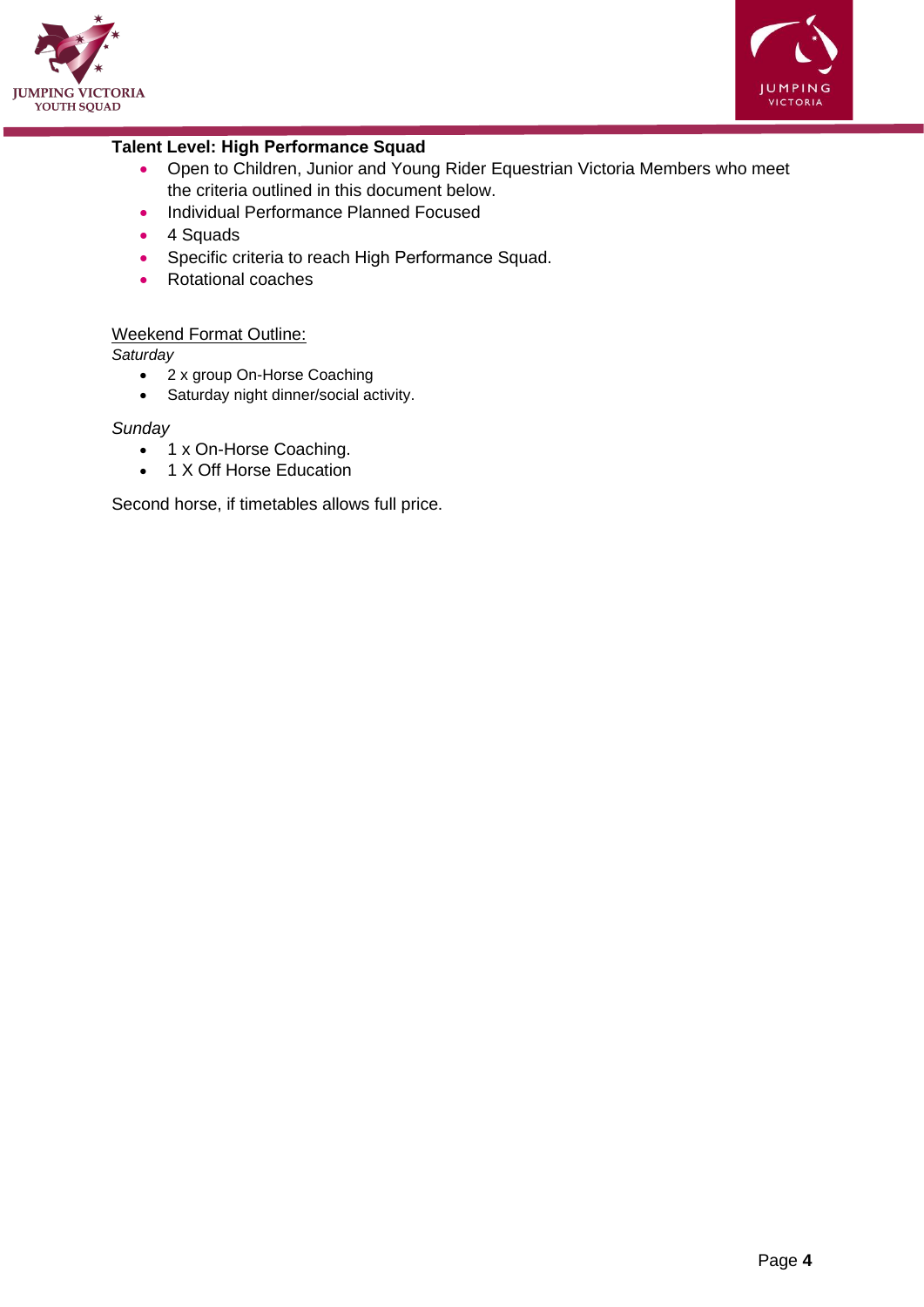



#### **Talent Level: High Performance Squad**

- Open to Children, Junior and Young Rider Equestrian Victoria Members who meet the criteria outlined in this document below.
- Individual Performance Planned Focused
- 4 Squads
- Specific criteria to reach High Performance Squad.
- Rotational coaches

#### Weekend Format Outline:

*Saturday*

- 2 x group On-Horse Coaching
- Saturday night dinner/social activity.

#### *Sunday*

- 1 x On-Horse Coaching.
- 1 X Off Horse Education

Second horse, if timetables allows full price.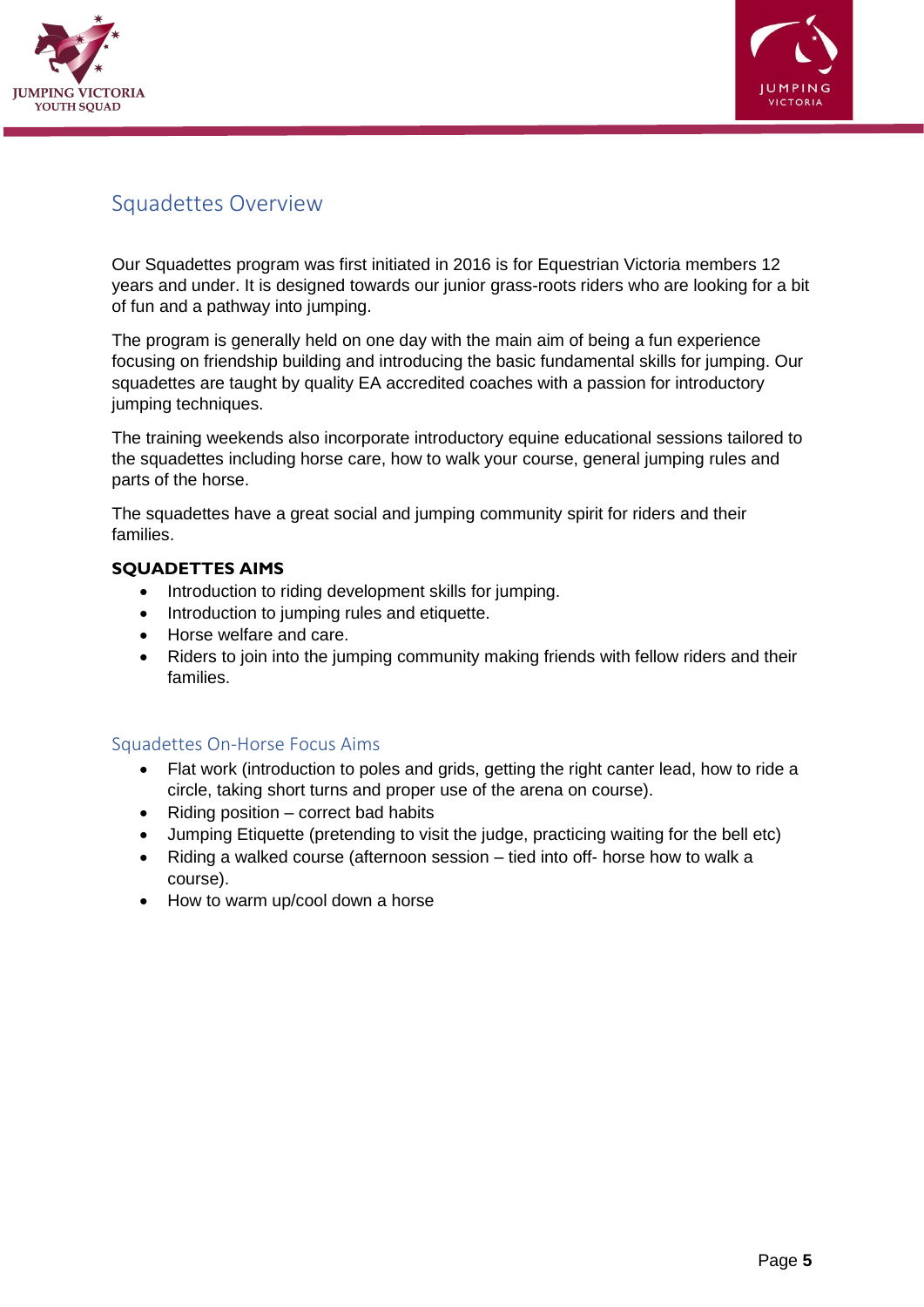



## <span id="page-7-0"></span>Squadettes Overview

Our Squadettes program was first initiated in 2016 is for Equestrian Victoria members 12 years and under. It is designed towards our junior grass-roots riders who are looking for a bit of fun and a pathway into jumping.

The program is generally held on one day with the main aim of being a fun experience focusing on friendship building and introducing the basic fundamental skills for jumping. Our squadettes are taught by quality EA accredited coaches with a passion for introductory jumping techniques.

The training weekends also incorporate introductory equine educational sessions tailored to the squadettes including horse care, how to walk your course, general jumping rules and parts of the horse.

The squadettes have a great social and jumping community spirit for riders and their families.

#### **SQUADETTES AIMS**

- Introduction to riding development skills for jumping.
- Introduction to jumping rules and etiquette.
- Horse welfare and care.
- Riders to join into the jumping community making friends with fellow riders and their families.

#### <span id="page-7-1"></span>Squadettes On-Horse Focus Aims

- Flat work (introduction to poles and grids, getting the right canter lead, how to ride a circle, taking short turns and proper use of the arena on course).
- Riding position correct bad habits
- Jumping Etiquette (pretending to visit the judge, practicing waiting for the bell etc)
- Riding a walked course (afternoon session tied into off- horse how to walk a course).
- How to warm up/cool down a horse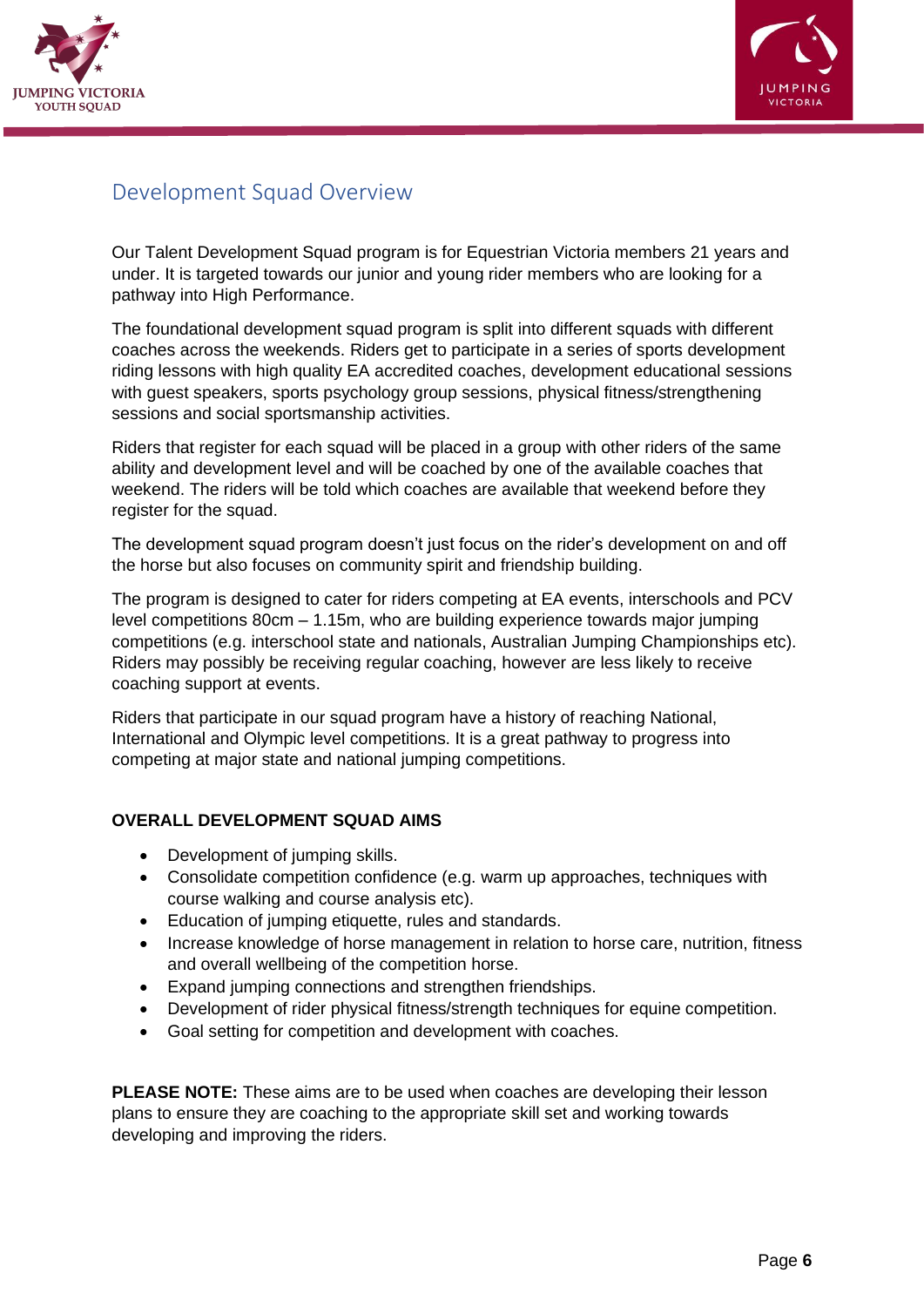



## <span id="page-8-0"></span>Development Squad Overview

Our Talent Development Squad program is for Equestrian Victoria members 21 years and under. It is targeted towards our junior and young rider members who are looking for a pathway into High Performance.

The foundational development squad program is split into different squads with different coaches across the weekends. Riders get to participate in a series of sports development riding lessons with high quality EA accredited coaches, development educational sessions with guest speakers, sports psychology group sessions, physical fitness/strengthening sessions and social sportsmanship activities.

Riders that register for each squad will be placed in a group with other riders of the same ability and development level and will be coached by one of the available coaches that weekend. The riders will be told which coaches are available that weekend before they register for the squad.

The development squad program doesn't just focus on the rider's development on and off the horse but also focuses on community spirit and friendship building.

The program is designed to cater for riders competing at EA events, interschools and PCV level competitions 80cm – 1.15m, who are building experience towards major jumping competitions (e.g. interschool state and nationals, Australian Jumping Championships etc). Riders may possibly be receiving regular coaching, however are less likely to receive coaching support at events.

Riders that participate in our squad program have a history of reaching National, International and Olympic level competitions. It is a great pathway to progress into competing at major state and national jumping competitions.

#### **OVERALL DEVELOPMENT SQUAD AIMS**

- Development of jumping skills.
- Consolidate competition confidence (e.g. warm up approaches, techniques with course walking and course analysis etc).
- Education of jumping etiquette, rules and standards.
- Increase knowledge of horse management in relation to horse care, nutrition, fitness and overall wellbeing of the competition horse.
- Expand jumping connections and strengthen friendships.
- Development of rider physical fitness/strength techniques for equine competition.
- Goal setting for competition and development with coaches.

**PLEASE NOTE:** These aims are to be used when coaches are developing their lesson plans to ensure they are coaching to the appropriate skill set and working towards developing and improving the riders.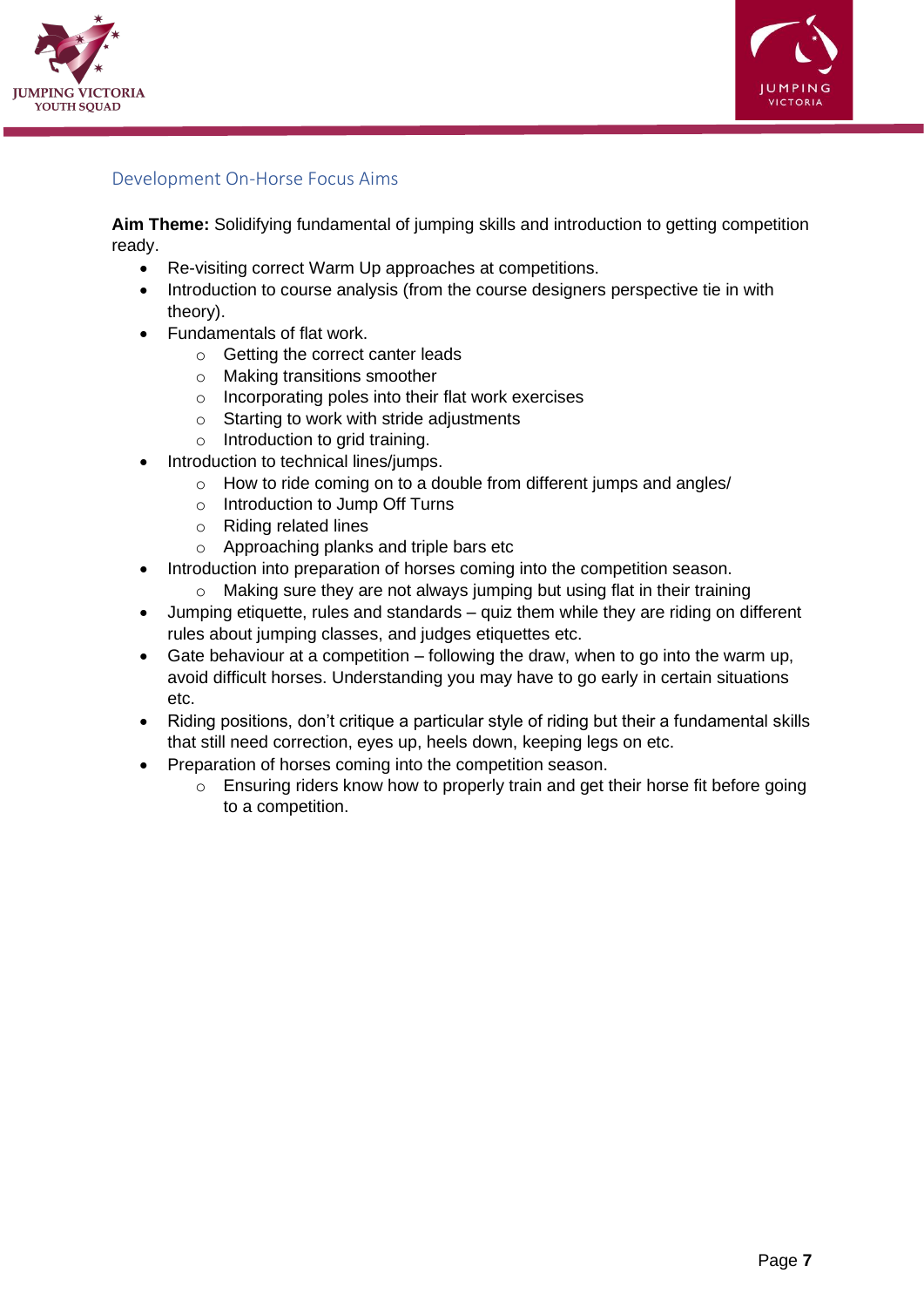



#### <span id="page-9-0"></span>Development On-Horse Focus Aims

**Aim Theme:** Solidifying fundamental of jumping skills and introduction to getting competition ready.

- Re-visiting correct Warm Up approaches at competitions.
- Introduction to course analysis (from the course designers perspective tie in with theory).
- Fundamentals of flat work.
	- o Getting the correct canter leads
	- o Making transitions smoother
	- o Incorporating poles into their flat work exercises
	- o Starting to work with stride adjustments
	- $\circ$  Introduction to grid training.
- Introduction to technical lines/jumps.
	- o How to ride coming on to a double from different jumps and angles/
	- o Introduction to Jump Off Turns
	- o Riding related lines
	- o Approaching planks and triple bars etc
- Introduction into preparation of horses coming into the competition season.
	- o Making sure they are not always jumping but using flat in their training
- Jumping etiquette, rules and standards quiz them while they are riding on different rules about jumping classes, and judges etiquettes etc.
- Gate behaviour at a competition following the draw, when to go into the warm up, avoid difficult horses. Understanding you may have to go early in certain situations etc.
- Riding positions, don't critique a particular style of riding but their a fundamental skills that still need correction, eyes up, heels down, keeping legs on etc.
- Preparation of horses coming into the competition season.
	- o Ensuring riders know how to properly train and get their horse fit before going to a competition.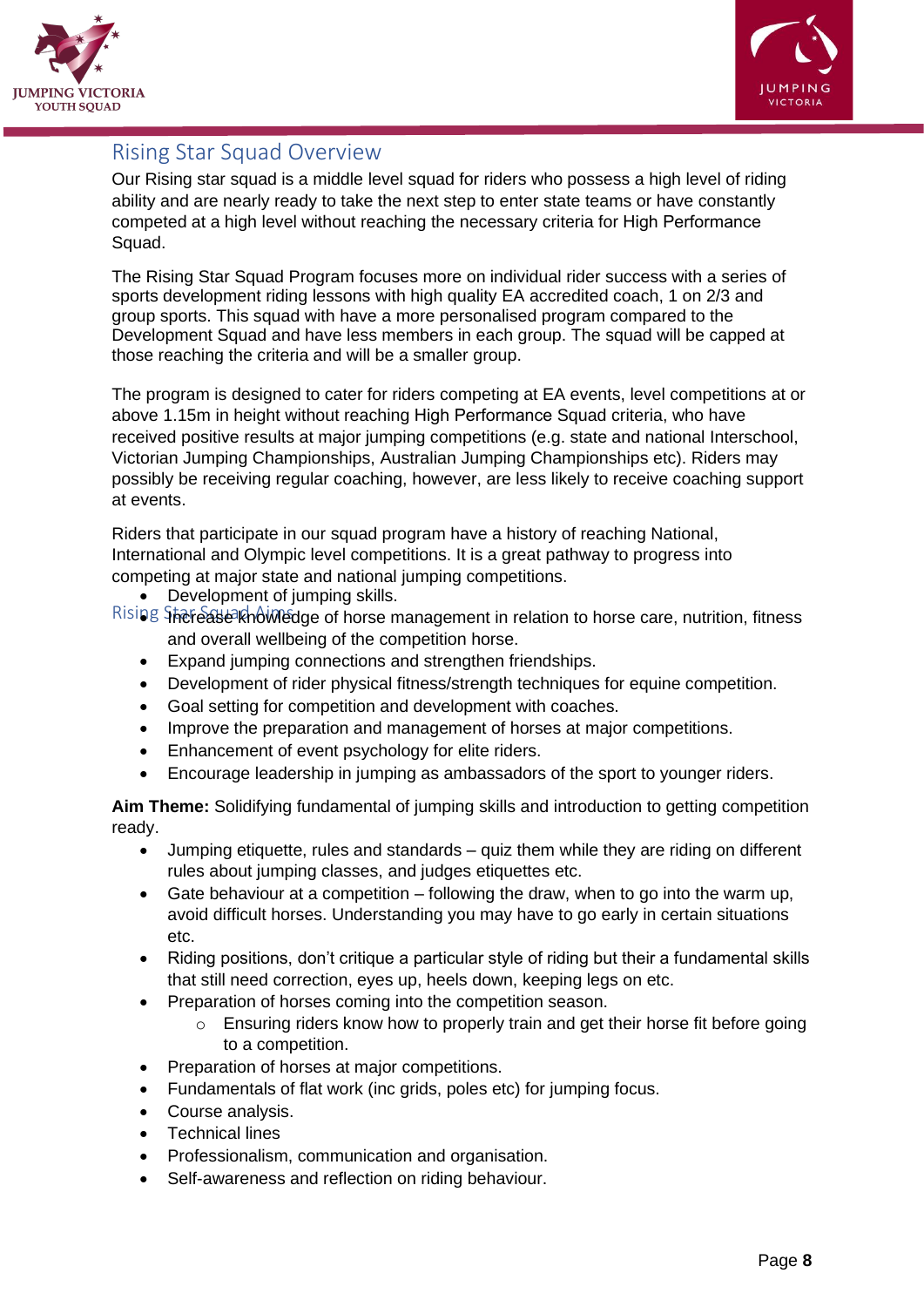



## <span id="page-10-0"></span>Rising Star Squad Overview

Our Rising star squad is a middle level squad for riders who possess a high level of riding ability and are nearly ready to take the next step to enter state teams or have constantly competed at a high level without reaching the necessary criteria for High Performance Squad.

The Rising Star Squad Program focuses more on individual rider success with a series of sports development riding lessons with high quality EA accredited coach, 1 on 2/3 and group sports. This squad with have a more personalised program compared to the Development Squad and have less members in each group. The squad will be capped at those reaching the criteria and will be a smaller group.

The program is designed to cater for riders competing at EA events, level competitions at or above 1.15m in height without reaching High Performance Squad criteria, who have received positive results at major jumping competitions (e.g. state and national Interschool, Victorian Jumping Championships, Australian Jumping Championships etc). Riders may possibly be receiving regular coaching, however, are less likely to receive coaching support at events.

<span id="page-10-1"></span>Riders that participate in our squad program have a history of reaching National, International and Olympic level competitions. It is a great pathway to progress into competing at major state and national jumping competitions.

- Development of jumping skills.
- Rising Starease knowledge of horse management in relation to horse care, nutrition, fitness and overall wellbeing of the competition horse.
	- Expand jumping connections and strengthen friendships.
	- Development of rider physical fitness/strength techniques for equine competition.
	- Goal setting for competition and development with coaches.
	- Improve the preparation and management of horses at major competitions.
	- Enhancement of event psychology for elite riders.
	- Encourage leadership in jumping as ambassadors of the sport to younger riders.

**Aim Theme:** Solidifying fundamental of jumping skills and introduction to getting competition ready.

- Jumping etiquette, rules and standards quiz them while they are riding on different rules about jumping classes, and judges etiquettes etc.
- Gate behaviour at a competition following the draw, when to go into the warm up, avoid difficult horses. Understanding you may have to go early in certain situations etc.
- Riding positions, don't critique a particular style of riding but their a fundamental skills that still need correction, eyes up, heels down, keeping legs on etc.
- Preparation of horses coming into the competition season.
	- $\circ$  Ensuring riders know how to properly train and get their horse fit before going to a competition.
- Preparation of horses at major competitions.
- Fundamentals of flat work (inc grids, poles etc) for jumping focus.
- Course analysis.
- Technical lines
- Professionalism, communication and organisation.
- Self-awareness and reflection on riding behaviour.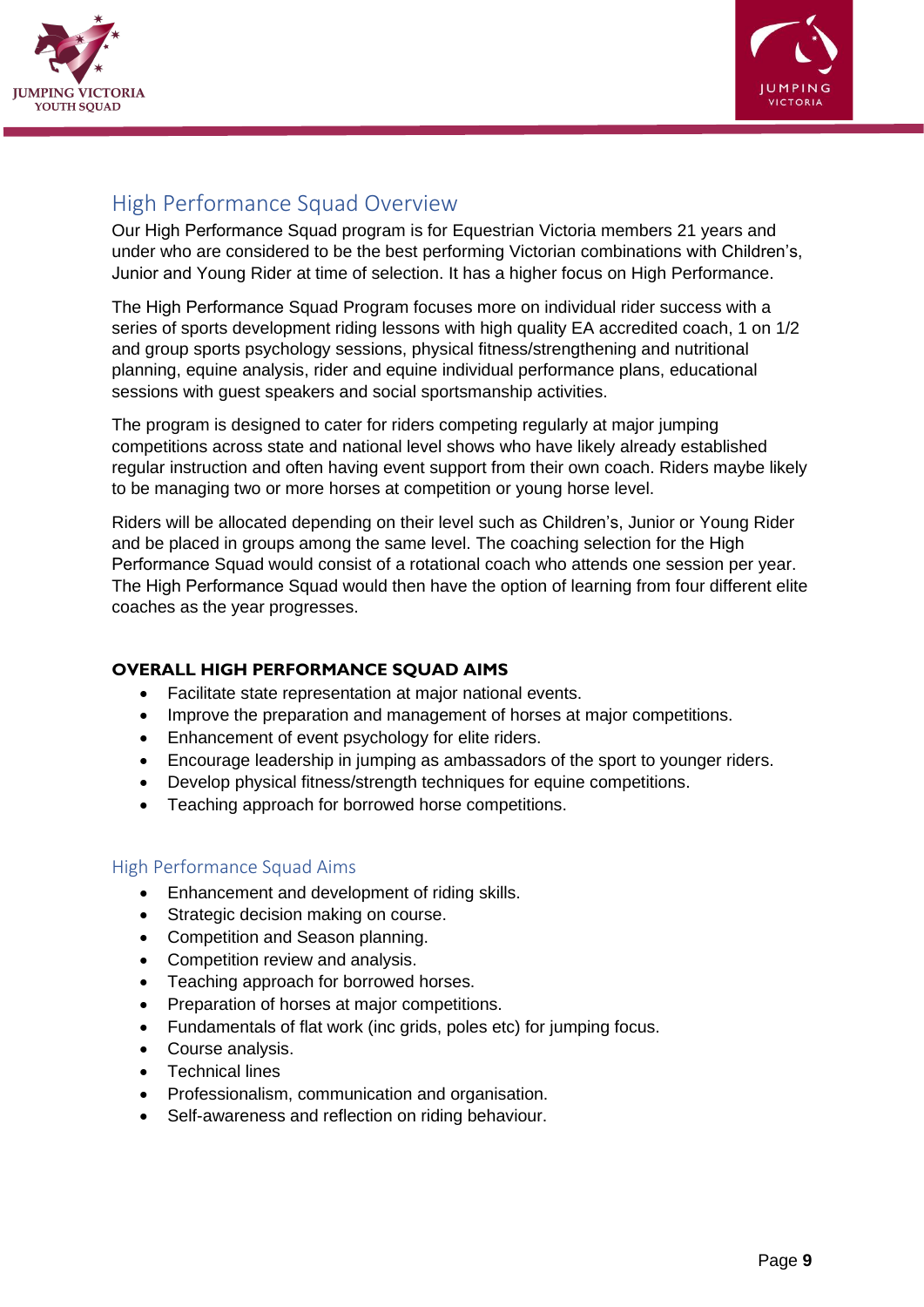



## <span id="page-11-0"></span>High Performance Squad Overview

Our High Performance Squad program is for Equestrian Victoria members 21 years and under who are considered to be the best performing Victorian combinations with Children's, Junior and Young Rider at time of selection. It has a higher focus on High Performance.

The High Performance Squad Program focuses more on individual rider success with a series of sports development riding lessons with high quality EA accredited coach, 1 on 1/2 and group sports psychology sessions, physical fitness/strengthening and nutritional planning, equine analysis, rider and equine individual performance plans, educational sessions with guest speakers and social sportsmanship activities.

The program is designed to cater for riders competing regularly at major jumping competitions across state and national level shows who have likely already established regular instruction and often having event support from their own coach. Riders maybe likely to be managing two or more horses at competition or young horse level.

Riders will be allocated depending on their level such as Children's, Junior or Young Rider and be placed in groups among the same level. The coaching selection for the High Performance Squad would consist of a rotational coach who attends one session per year. The High Performance Squad would then have the option of learning from four different elite coaches as the year progresses.

#### **OVERALL HIGH PERFORMANCE SQUAD AIMS**

- Facilitate state representation at major national events.
- Improve the preparation and management of horses at major competitions.
- Enhancement of event psychology for elite riders.
- Encourage leadership in jumping as ambassadors of the sport to younger riders.
- Develop physical fitness/strength techniques for equine competitions.
- Teaching approach for borrowed horse competitions.

#### <span id="page-11-1"></span>High Performance Squad Aims

- Enhancement and development of riding skills.
- Strategic decision making on course.
- Competition and Season planning.
- Competition review and analysis.
- Teaching approach for borrowed horses.
- Preparation of horses at major competitions.
- Fundamentals of flat work (inc grids, poles etc) for jumping focus.
- Course analysis.
- Technical lines
- Professionalism, communication and organisation.
- Self-awareness and reflection on riding behaviour.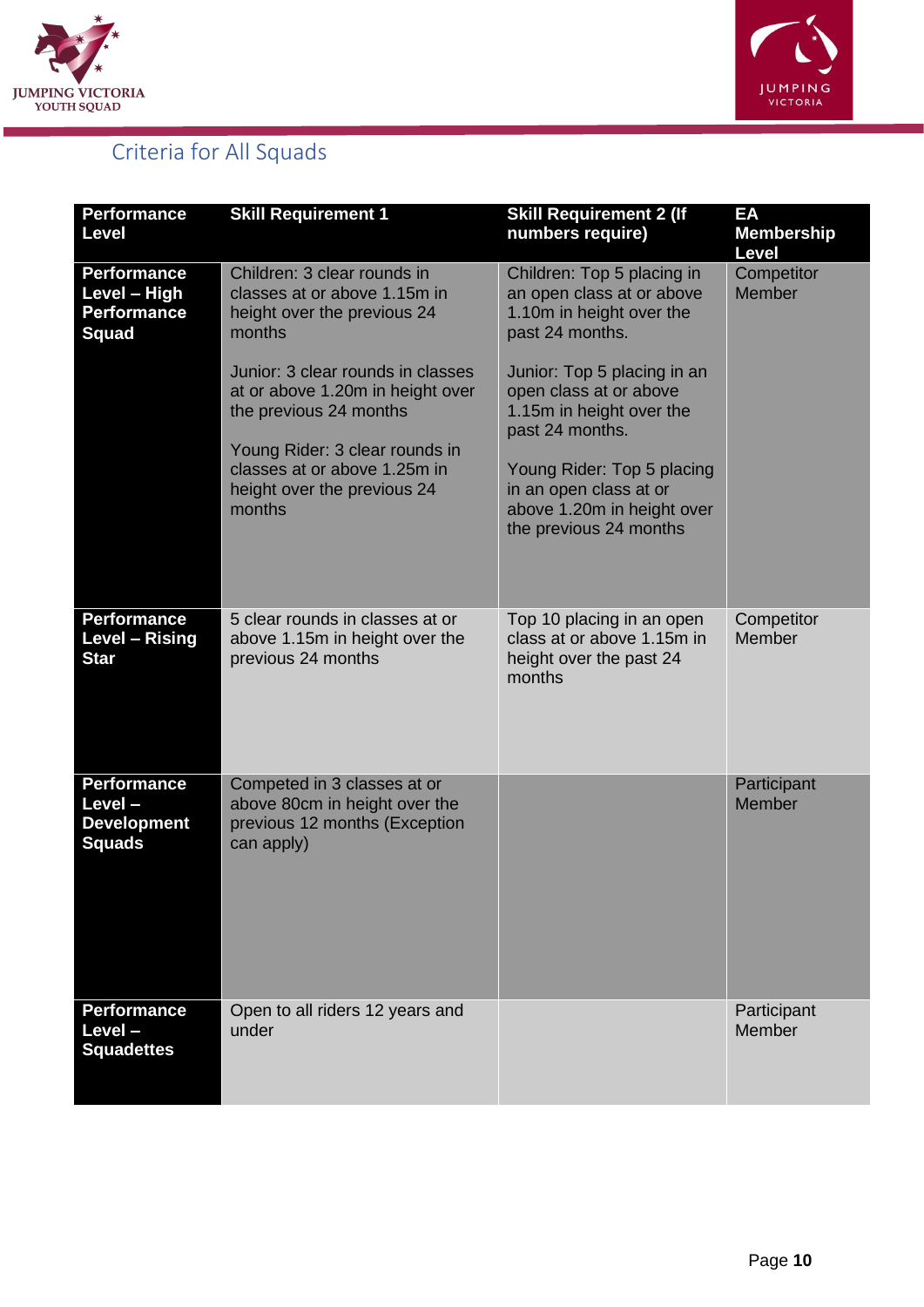



## <span id="page-12-0"></span>Criteria for All Squads

| <b>Performance</b><br><b>Level</b>                                       | <b>Skill Requirement 1</b>                                                                                                                                                                                                                                                                                         | <b>Skill Requirement 2 (If</b><br>numbers require)                                                                                                                                                                                                                                                                             | EA<br><b>Membership</b><br>Level |
|--------------------------------------------------------------------------|--------------------------------------------------------------------------------------------------------------------------------------------------------------------------------------------------------------------------------------------------------------------------------------------------------------------|--------------------------------------------------------------------------------------------------------------------------------------------------------------------------------------------------------------------------------------------------------------------------------------------------------------------------------|----------------------------------|
| <b>Performance</b><br>Level - High<br><b>Performance</b><br><b>Squad</b> | Children: 3 clear rounds in<br>classes at or above 1.15m in<br>height over the previous 24<br>months<br>Junior: 3 clear rounds in classes<br>at or above 1.20m in height over<br>the previous 24 months<br>Young Rider: 3 clear rounds in<br>classes at or above 1.25m in<br>height over the previous 24<br>months | Children: Top 5 placing in<br>an open class at or above<br>1.10m in height over the<br>past 24 months.<br>Junior: Top 5 placing in an<br>open class at or above<br>1.15m in height over the<br>past 24 months.<br>Young Rider: Top 5 placing<br>in an open class at or<br>above 1.20m in height over<br>the previous 24 months | Competitor<br><b>Member</b>      |
| <b>Performance</b><br>Level - Rising<br><b>Star</b>                      | 5 clear rounds in classes at or<br>above 1.15m in height over the<br>previous 24 months                                                                                                                                                                                                                            | Top 10 placing in an open<br>class at or above 1.15m in<br>height over the past 24<br>months                                                                                                                                                                                                                                   | Competitor<br>Member             |
| <b>Performance</b><br>Level-<br><b>Development</b><br><b>Squads</b>      | Competed in 3 classes at or<br>above 80cm in height over the<br>previous 12 months (Exception<br>can apply)                                                                                                                                                                                                        |                                                                                                                                                                                                                                                                                                                                | Participant<br>Member            |
| <b>Performance</b><br>Level-<br><b>Squadettes</b>                        | Open to all riders 12 years and<br>under                                                                                                                                                                                                                                                                           |                                                                                                                                                                                                                                                                                                                                | Participant<br>Member            |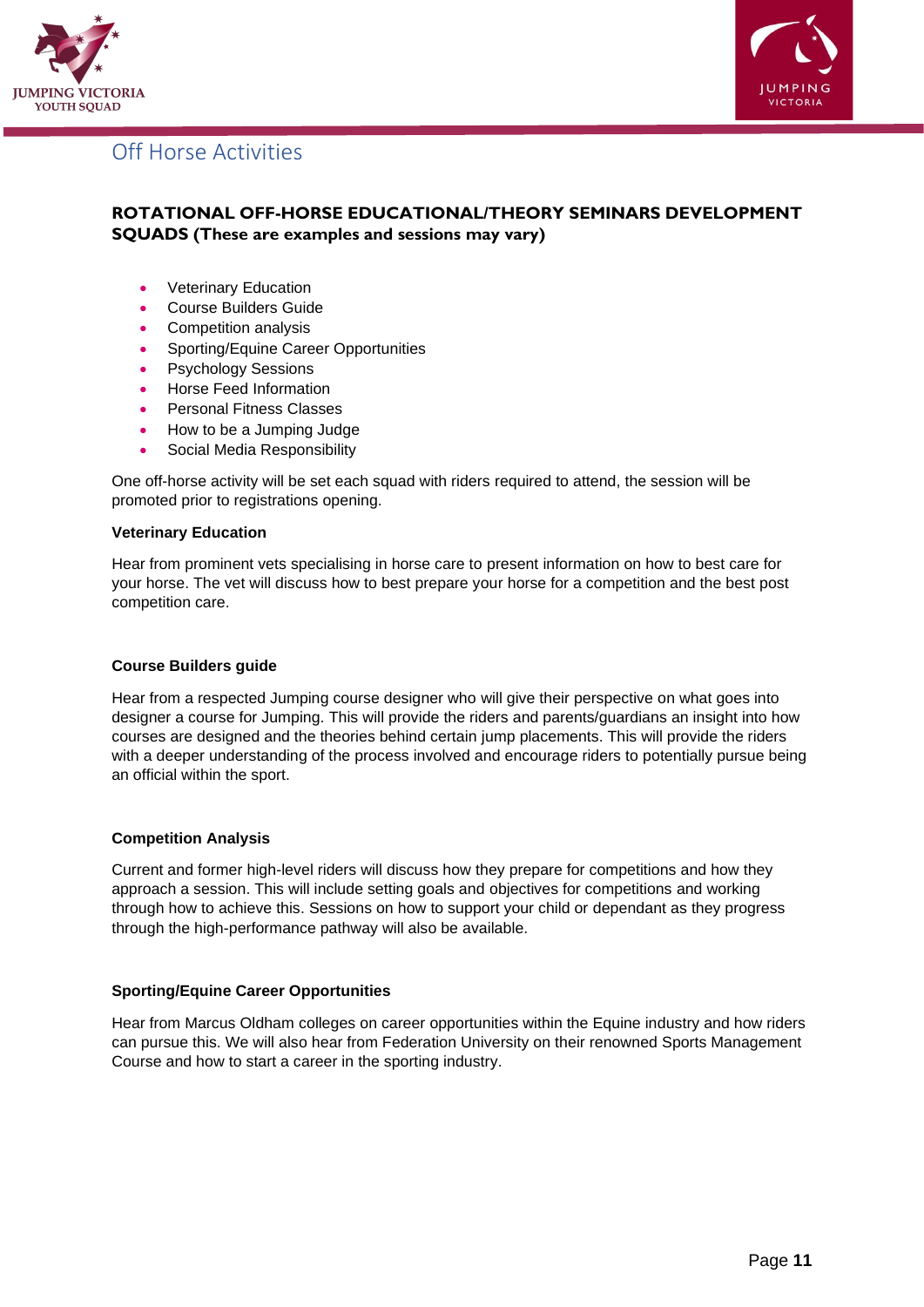



## <span id="page-13-0"></span>Off Horse Activities

#### **ROTATIONAL OFF-HORSE EDUCATIONAL/THEORY SEMINARS DEVELOPMENT SQUADS (These are examples and sessions may vary)**

- Veterinary Education
- Course Builders Guide
- Competition analysis
- Sporting/Equine Career Opportunities
- Psychology Sessions
- Horse Feed Information
- Personal Fitness Classes
- How to be a Jumping Judge
- Social Media Responsibility

One off-horse activity will be set each squad with riders required to attend, the session will be promoted prior to registrations opening.

#### **Veterinary Education**

Hear from prominent vets specialising in horse care to present information on how to best care for your horse. The vet will discuss how to best prepare your horse for a competition and the best post competition care.

#### **Course Builders guide**

Hear from a respected Jumping course designer who will give their perspective on what goes into designer a course for Jumping. This will provide the riders and parents/guardians an insight into how courses are designed and the theories behind certain jump placements. This will provide the riders with a deeper understanding of the process involved and encourage riders to potentially pursue being an official within the sport.

#### **Competition Analysis**

Current and former high-level riders will discuss how they prepare for competitions and how they approach a session. This will include setting goals and objectives for competitions and working through how to achieve this. Sessions on how to support your child or dependant as they progress through the high-performance pathway will also be available.

#### **Sporting/Equine Career Opportunities**

Hear from Marcus Oldham colleges on career opportunities within the Equine industry and how riders can pursue this. We will also hear from Federation University on their renowned Sports Management Course and how to start a career in the sporting industry.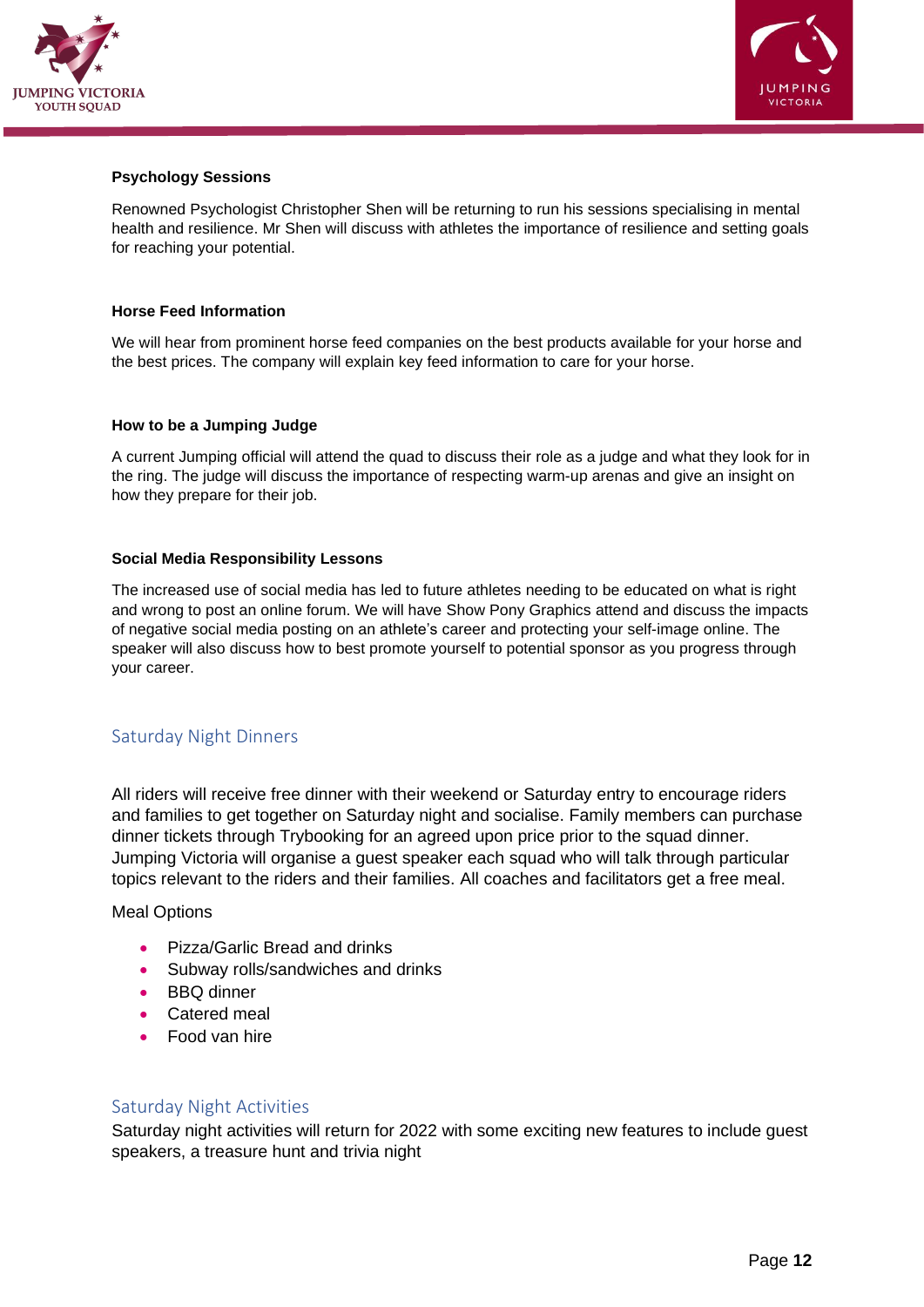



#### **Psychology Sessions**

Renowned Psychologist Christopher Shen will be returning to run his sessions specialising in mental health and resilience. Mr Shen will discuss with athletes the importance of resilience and setting goals for reaching your potential.

#### **Horse Feed Information**

We will hear from prominent horse feed companies on the best products available for your horse and the best prices. The company will explain key feed information to care for your horse.

#### **How to be a Jumping Judge**

A current Jumping official will attend the quad to discuss their role as a judge and what they look for in the ring. The judge will discuss the importance of respecting warm-up arenas and give an insight on how they prepare for their job.

#### **Social Media Responsibility Lessons**

The increased use of social media has led to future athletes needing to be educated on what is right and wrong to post an online forum. We will have Show Pony Graphics attend and discuss the impacts of negative social media posting on an athlete's career and protecting your self-image online. The speaker will also discuss how to best promote yourself to potential sponsor as you progress through your career.

#### <span id="page-14-0"></span>Saturday Night Dinners

All riders will receive free dinner with their weekend or Saturday entry to encourage riders and families to get together on Saturday night and socialise. Family members can purchase dinner tickets through Trybooking for an agreed upon price prior to the squad dinner. Jumping Victoria will organise a guest speaker each squad who will talk through particular topics relevant to the riders and their families. All coaches and facilitators get a free meal.

Meal Options

- Pizza/Garlic Bread and drinks
- Subway rolls/sandwiches and drinks
- BBQ dinner
- Catered meal
- Food van hire

#### <span id="page-14-1"></span>Saturday Night Activities

Saturday night activities will return for 2022 with some exciting new features to include guest speakers, a treasure hunt and trivia night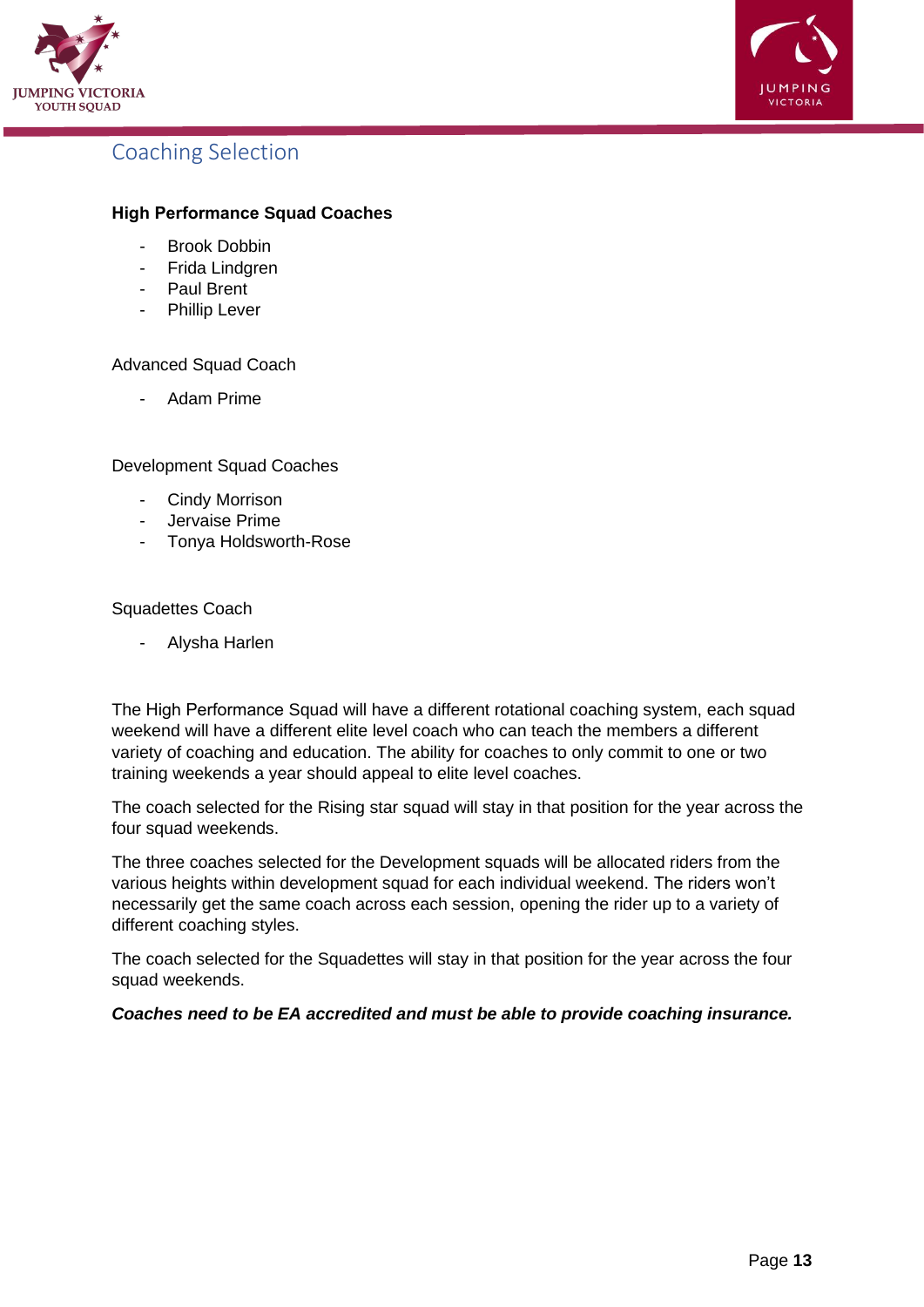



### <span id="page-15-0"></span>Coaching Selection

#### **High Performance Squad Coaches**

- Brook Dobbin
- Frida Lindgren
- Paul Brent
- Phillip Lever

Advanced Squad Coach

Adam Prime

Development Squad Coaches

- Cindy Morrison
- Jervaise Prime
- Tonya Holdsworth-Rose

#### Squadettes Coach

Alysha Harlen

The High Performance Squad will have a different rotational coaching system, each squad weekend will have a different elite level coach who can teach the members a different variety of coaching and education. The ability for coaches to only commit to one or two training weekends a year should appeal to elite level coaches.

The coach selected for the Rising star squad will stay in that position for the year across the four squad weekends.

The three coaches selected for the Development squads will be allocated riders from the various heights within development squad for each individual weekend. The riders won't necessarily get the same coach across each session, opening the rider up to a variety of different coaching styles.

The coach selected for the Squadettes will stay in that position for the year across the four squad weekends.

#### <span id="page-15-1"></span>*Coaches need to be EA accredited and must be able to provide coaching insurance.*